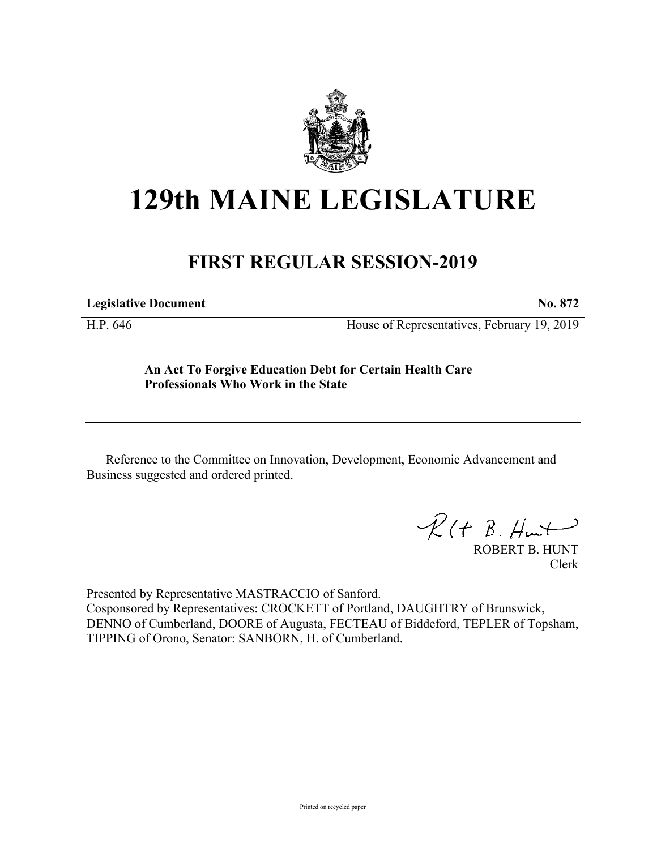

## **129th MAINE LEGISLATURE**

## **FIRST REGULAR SESSION-2019**

**Legislative Document No. 872**

H.P. 646 House of Representatives, February 19, 2019

**An Act To Forgive Education Debt for Certain Health Care Professionals Who Work in the State**

Reference to the Committee on Innovation, Development, Economic Advancement and Business suggested and ordered printed.

 $R(H B. H<sub>un</sub>+)$ 

ROBERT B. HUNT Clerk

Presented by Representative MASTRACCIO of Sanford. Cosponsored by Representatives: CROCKETT of Portland, DAUGHTRY of Brunswick, DENNO of Cumberland, DOORE of Augusta, FECTEAU of Biddeford, TEPLER of Topsham, TIPPING of Orono, Senator: SANBORN, H. of Cumberland.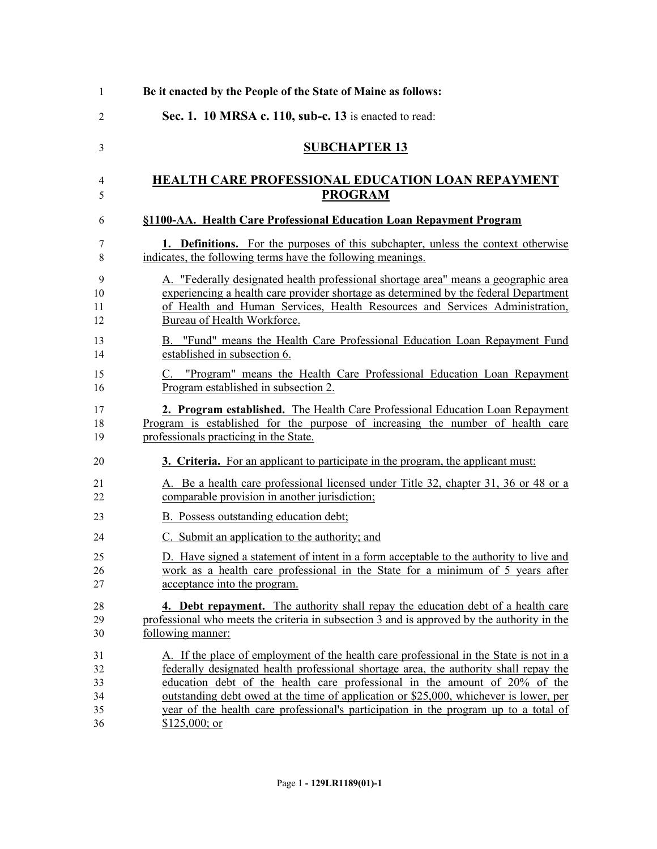| $\mathbf{1}$ | Be it enacted by the People of the State of Maine as follows:                               |
|--------------|---------------------------------------------------------------------------------------------|
| 2            | Sec. 1. 10 MRSA c. 110, sub-c. 13 is enacted to read:                                       |
| 3            | <b>SUBCHAPTER 13</b>                                                                        |
| 4            | <b>HEALTH CARE PROFESSIONAL EDUCATION LOAN REPAYMENT</b>                                    |
| 5            | <b>PROGRAM</b>                                                                              |
| 6            | §1100-AA. Health Care Professional Education Loan Repayment Program                         |
| 7            | <b>1. Definitions.</b> For the purposes of this subchapter, unless the context otherwise    |
| 8            | indicates, the following terms have the following meanings.                                 |
| 9            | A. "Federally designated health professional shortage area" means a geographic area         |
| 10           | experiencing a health care provider shortage as determined by the federal Department        |
| 11           | of Health and Human Services, Health Resources and Services Administration,                 |
| 12           | Bureau of Health Workforce.                                                                 |
| 13           | B. "Fund" means the Health Care Professional Education Loan Repayment Fund                  |
| 14           | established in subsection 6.                                                                |
| 15           | C. "Program" means the Health Care Professional Education Loan Repayment                    |
| 16           | Program established in subsection 2.                                                        |
| 17           | 2. Program established. The Health Care Professional Education Loan Repayment               |
| 18           | Program is established for the purpose of increasing the number of health care              |
| 19           | professionals practicing in the State.                                                      |
| 20           | 3. Criteria. For an applicant to participate in the program, the applicant must:            |
| 21           | A. Be a health care professional licensed under Title 32, chapter 31, 36 or 48 or a         |
| 22           | comparable provision in another jurisdiction;                                               |
| 23           | B. Possess outstanding education debt;                                                      |
| 24           | C. Submit an application to the authority; and                                              |
| 25           | D. Have signed a statement of intent in a form acceptable to the authority to live and      |
| 26           | work as a health care professional in the State for a minimum of 5 years after              |
| 27           | acceptance into the program.                                                                |
| 28           | 4. Debt repayment. The authority shall repay the education debt of a health care            |
| 29           | professional who meets the criteria in subsection 3 and is approved by the authority in the |
| 30           | following manner:                                                                           |
| 31           | A. If the place of employment of the health care professional in the State is not in a      |
| 32           | federally designated health professional shortage area, the authority shall repay the       |
| 33           | education debt of the health care professional in the amount of 20% of the                  |
| 34           | outstanding debt owed at the time of application or \$25,000, whichever is lower, per       |
| 35           | year of the health care professional's participation in the program up to a total of        |
| 36           | $$125,000;$ or                                                                              |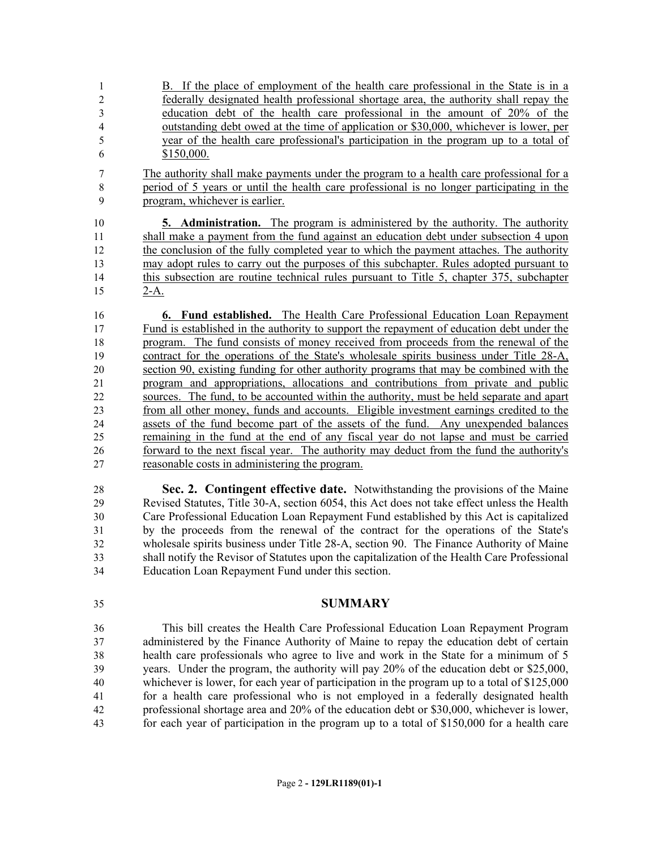- B. If the place of employment of the health care professional in the State is in a federally designated health professional shortage area, the authority shall repay the education debt of the health care professional in the amount of 20% of the outstanding debt owed at the time of application or \$30,000, whichever is lower, per year of the health care professional's participation in the program up to a total of \$150,000.
- The authority shall make payments under the program to a health care professional for a period of 5 years or until the health care professional is no longer participating in the program, whichever is earlier.

 **5. Administration.** The program is administered by the authority. The authority shall make a payment from the fund against an education debt under subsection 4 upon the conclusion of the fully completed year to which the payment attaches. The authority may adopt rules to carry out the purposes of this subchapter. Rules adopted pursuant to this subsection are routine technical rules pursuant to Title 5, chapter 375, subchapter 2-A.

 **6. Fund established.** The Health Care Professional Education Loan Repayment Fund is established in the authority to support the repayment of education debt under the program. The fund consists of money received from proceeds from the renewal of the contract for the operations of the State's wholesale spirits business under Title 28-A, section 90, existing funding for other authority programs that may be combined with the program and appropriations, allocations and contributions from private and public sources. The fund, to be accounted within the authority, must be held separate and apart from all other money, funds and accounts. Eligible investment earnings credited to the assets of the fund become part of the assets of the fund. Any unexpended balances remaining in the fund at the end of any fiscal year do not lapse and must be carried forward to the next fiscal year. The authority may deduct from the fund the authority's reasonable costs in administering the program.

 **Sec. 2. Contingent effective date.** Notwithstanding the provisions of the Maine Revised Statutes, Title 30-A, section 6054, this Act does not take effect unless the Health Care Professional Education Loan Repayment Fund established by this Act is capitalized by the proceeds from the renewal of the contract for the operations of the State's wholesale spirits business under Title 28-A, section 90. The Finance Authority of Maine shall notify the Revisor of Statutes upon the capitalization of the Health Care Professional Education Loan Repayment Fund under this section.

## **SUMMARY**

 This bill creates the Health Care Professional Education Loan Repayment Program administered by the Finance Authority of Maine to repay the education debt of certain health care professionals who agree to live and work in the State for a minimum of 5 years. Under the program, the authority will pay 20% of the education debt or \$25,000, whichever is lower, for each year of participation in the program up to a total of \$125,000 for a health care professional who is not employed in a federally designated health professional shortage area and 20% of the education debt or \$30,000, whichever is lower, for each year of participation in the program up to a total of \$150,000 for a health care